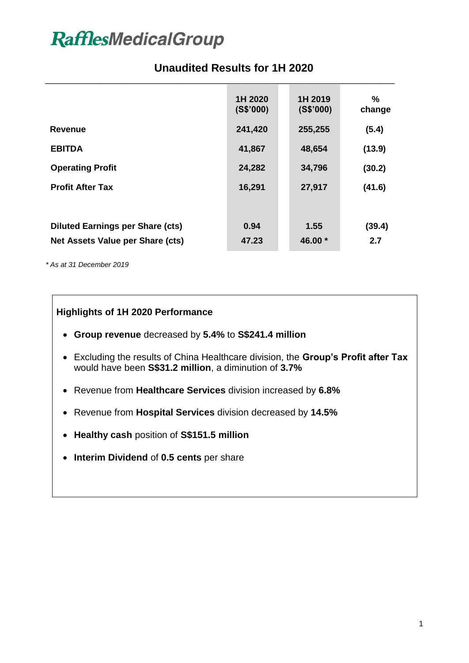# **RafflesMedicalGroup**

### **Unaudited Results for 1H 2020**

|                                         | 1H 2020<br>(S\$'000) | 1H 2019<br>(S\$'000) | $\%$<br>change |
|-----------------------------------------|----------------------|----------------------|----------------|
| <b>Revenue</b>                          | 241,420              | 255,255              | (5.4)          |
| <b>EBITDA</b>                           | 41,867               | 48,654               | (13.9)         |
| <b>Operating Profit</b>                 | 24,282               | 34,796               | (30.2)         |
| <b>Profit After Tax</b>                 | 16,291               | 27,917               | (41.6)         |
|                                         |                      |                      |                |
| <b>Diluted Earnings per Share (cts)</b> | 0.94                 | 1.55                 | (39.4)         |
| Net Assets Value per Share (cts)        | 47.23                | 46.00 $*$            | 2.7            |

*\* As at 31 December 2019*

### **Highlights of 1H 2020 Performance**

- **Group revenue** decreased by **5.4%** to **S\$241.4 million**
- Excluding the results of China Healthcare division, the **Group's Profit after Tax** would have been **S\$31.2 million**, a diminution of **3.7%**
- Revenue from **Healthcare Services** division increased by **6.8%**
- Revenue from **Hospital Services** division decreased by **14.5%**
- **Healthy cash** position of **S\$151.5 million**
- **Interim Dividend** of **0.5 cents** per share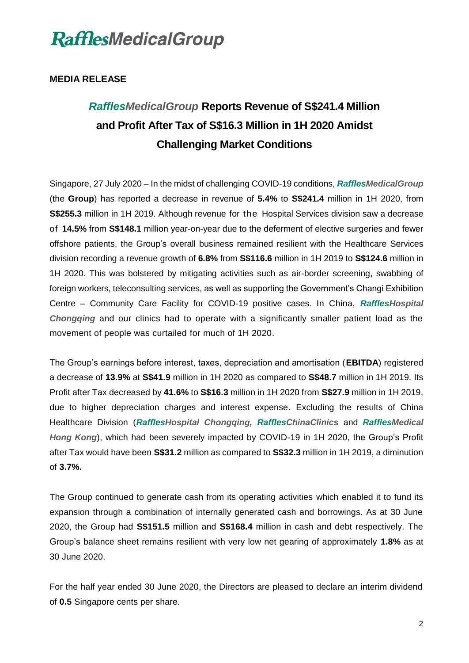

#### **MEDIA RELEASE**

### *RafflesMedicalGroup* **Reports Revenue of S\$241.4 Million and Profit After Tax of S\$16.3 Million in 1H 2020 Amidst Challenging Market Conditions**

Singapore, 27 July 2020 – In the midst of challenging COVID-19 conditions, *RafflesMedicalGroup* (the **Group**) has reported a decrease in revenue of **5.4%** to **S\$241.4** million in 1H 2020, from **S\$255.3** million in 1H 2019. Although revenue for the Hospital Services division saw a decrease of **14.5%** from **S\$148.1** million year-on-year due to the deferment of elective surgeries and fewer offshore patients, the Group's overall business remained resilient with the Healthcare Services division recording a revenue growth of **6.8%** from **S\$116.6** million in 1H 2019 to **S\$124.6** million in 1H 2020. This was bolstered by mitigating activities such as air-border screening, swabbing of foreign workers, teleconsulting services, as well as supporting the Government's Changi Exhibition Centre – Community Care Facility for COVID-19 positive cases. In China, *RafflesHospital Chongqing* and our clinics had to operate with a significantly smaller patient load as the movement of people was curtailed for much of 1H 2020.

The Group's earnings before interest, taxes, depreciation and amortisation (**EBITDA**) registered a decrease of **13.9%** at **S\$41.9** million in 1H 2020 as compared to **S\$48.7** million in 1H 2019. Its Profit after Tax decreased by **41.6%** to **S\$16.3** million in 1H 2020 from **S\$27.9** million in 1H 2019, due to higher depreciation charges and interest expense. Excluding the results of China Healthcare Division (*RafflesHospital Chongqing, RafflesChinaClinics* and *RafflesMedical Hong Kong*), which had been severely impacted by COVID-19 in 1H 2020, the Group's Profit after Tax would have been **S\$31.2** million as compared to **S\$32.3** million in 1H 2019, a diminution of **3.7%.**

The Group continued to generate cash from its operating activities which enabled it to fund its expansion through a combination of internally generated cash and borrowings. As at 30 June 2020, the Group had **S\$151.5** million and **S\$168.4** million in cash and debt respectively. The Group's balance sheet remains resilient with very low net gearing of approximately **1.8%** as at 30 June 2020.

For the half year ended 30 June 2020, the Directors are pleased to declare an interim dividend of **0.5** Singapore cents per share.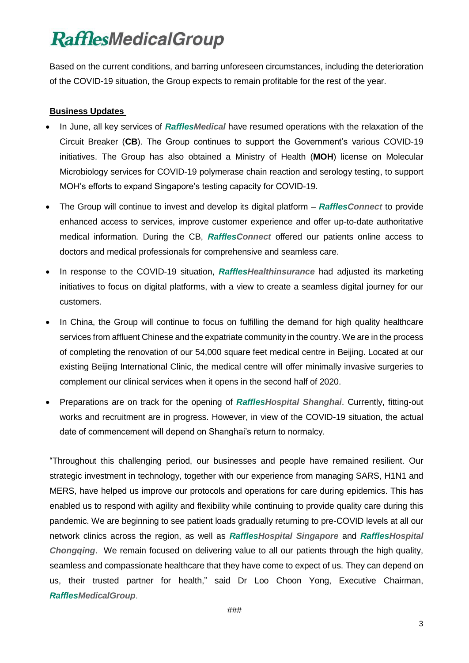# **RafflesMedicalGroup**

Based on the current conditions, and barring unforeseen circumstances, including the deterioration of the COVID-19 situation, the Group expects to remain profitable for the rest of the year.

#### **Business Updates**

- In June, all key services of *RafflesMedical* have resumed operations with the relaxation of the Circuit Breaker (**CB**). The Group continues to support the Government's various COVID-19 initiatives. The Group has also obtained a Ministry of Health (**MOH**) license on Molecular Microbiology services for COVID-19 polymerase chain reaction and serology testing, to support MOH's efforts to expand Singapore's testing capacity for COVID-19.
- The Group will continue to invest and develop its digital platform *RafflesConnect* to provide enhanced access to services, improve customer experience and offer up-to-date authoritative medical information. During the CB, *RafflesConnect* offered our patients online access to doctors and medical professionals for comprehensive and seamless care.
- In response to the COVID-19 situation, *RafflesHealthinsurance* had adjusted its marketing initiatives to focus on digital platforms, with a view to create a seamless digital journey for our customers.
- In China, the Group will continue to focus on fulfilling the demand for high quality healthcare services from affluent Chinese and the expatriate community in the country. We are in the process of completing the renovation of our 54,000 square feet medical centre in Beijing. Located at our existing Beijing International Clinic, the medical centre will offer minimally invasive surgeries to complement our clinical services when it opens in the second half of 2020.
- Preparations are on track for the opening of *RafflesHospital Shanghai*. Currently, fitting-out works and recruitment are in progress. However, in view of the COVID-19 situation, the actual date of commencement will depend on Shanghai's return to normalcy.

"Throughout this challenging period, our businesses and people have remained resilient. Our strategic investment in technology, together with our experience from managing SARS, H1N1 and MERS, have helped us improve our protocols and operations for care during epidemics. This has enabled us to respond with agility and flexibility while continuing to provide quality care during this pandemic. We are beginning to see patient loads gradually returning to pre-COVID levels at all our network clinics across the region, as well as *RafflesHospital Singapore* and *RafflesHospital Chongqing*. We remain focused on delivering value to all our patients through the high quality, seamless and compassionate healthcare that they have come to expect of us. They can depend on us, their trusted partner for health," said Dr Loo Choon Yong, Executive Chairman, *RafflesMedicalGroup*.